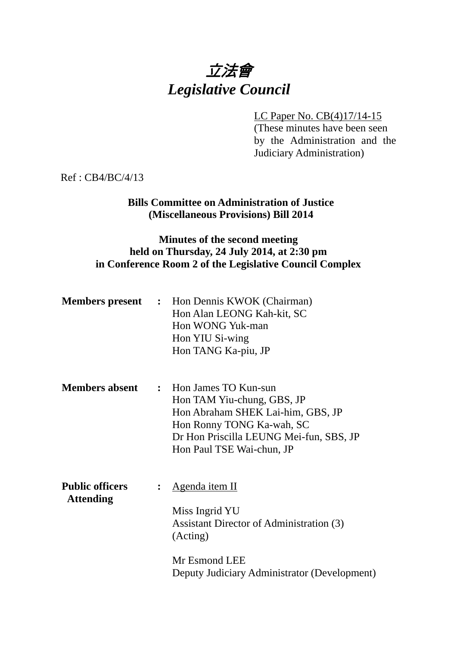

LC Paper No. CB(4)17/14-15 (These minutes have been seen by the Administration and the Judiciary Administration)

Ref : CB4/BC/4/13

## **Bills Committee on Administration of Justice (Miscellaneous Provisions) Bill 2014**

# **Minutes of the second meeting held on Thursday, 24 July 2014, at 2:30 pm in Conference Room 2 of the Legislative Council Complex**

| <b>Members present :</b>                   |                | Hon Dennis KWOK (Chairman)<br>Hon Alan LEONG Kah-kit, SC<br>Hon WONG Yuk-man<br>Hon YIU Si-wing<br>Hon TANG Ka-piu, JP                                                                         |
|--------------------------------------------|----------------|------------------------------------------------------------------------------------------------------------------------------------------------------------------------------------------------|
| <b>Members absent</b>                      |                | : Hon James TO Kun-sun<br>Hon TAM Yiu-chung, GBS, JP<br>Hon Abraham SHEK Lai-him, GBS, JP<br>Hon Ronny TONG Ka-wah, SC<br>Dr Hon Priscilla LEUNG Mei-fun, SBS, JP<br>Hon Paul TSE Wai-chun, JP |
| <b>Public officers</b><br><b>Attending</b> | $\ddot{\cdot}$ | Agenda item II<br>Miss Ingrid YU<br>Assistant Director of Administration (3)<br>(Acting)<br>Mr Esmond LEE<br>Deputy Judiciary Administrator (Development)                                      |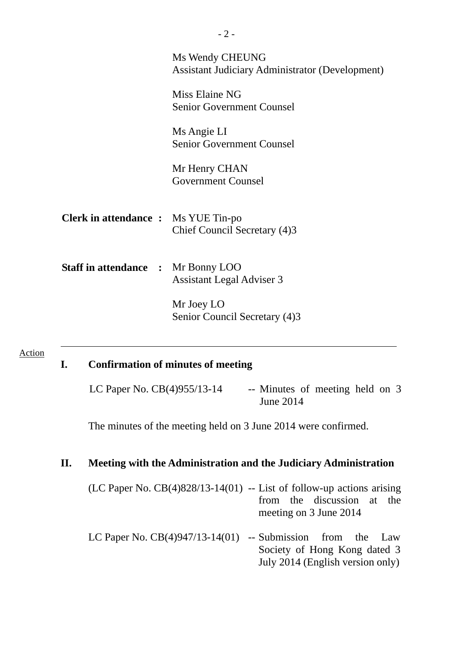|                                            | Ms Wendy CHEUNG<br><b>Assistant Judiciary Administrator (Development)</b><br>Miss Elaine NG<br><b>Senior Government Counsel</b><br>Ms Angie LI<br><b>Senior Government Counsel</b><br>Mr Henry CHAN<br><b>Government Counsel</b> |
|--------------------------------------------|----------------------------------------------------------------------------------------------------------------------------------------------------------------------------------------------------------------------------------|
| <b>Clerk in attendance :</b> Ms YUE Tin-po | Chief Council Secretary (4)3                                                                                                                                                                                                     |
| <b>Staff in attendance : Mr Bonny LOO</b>  | <b>Assistant Legal Adviser 3</b><br>Mr Joey LO<br>Senior Council Secretary (4)3                                                                                                                                                  |

#### Action

### **I. Confirmation of minutes of meeting**

LC Paper No.  $CB(4)955/13-14$  -- Minutes of meeting held on 3 June 2014

The minutes of the meeting held on 3 June 2014 were confirmed.

# **II. Meeting with the Administration and the Judiciary Administration**

- (LC Paper No.  $CB(4)828/13-14(01)$  -- List of follow-up actions arising from the discussion at the meeting on 3 June 2014
- LC Paper No.  $CB(4)947/13-14(01)$  -- Submission from the Law Society of Hong Kong dated 3 July 2014 (English version only)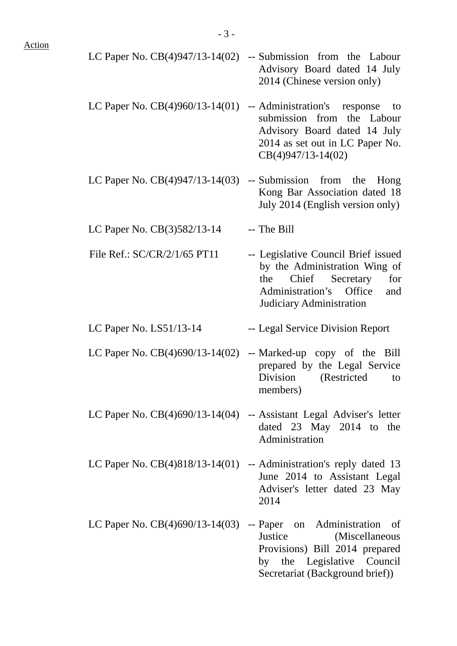LC Paper No. CB(4)947/13-14(02) -- Submission from the Labour Advisory Board dated 14 July 2014 (Chinese version only) LC Paper No. CB(4)960/13-14(01) -- Administration's response to submission from the Labour Advisory Board dated 14 July 2014 as set out in LC Paper No. CB(4)947/13-14(02) LC Paper No. CB(4)947/13-14(03) -- Submission from the Hong Kong Bar Association dated 18 July 2014 (English version only) LC Paper No.  $CB(3)582/13-14$  -- The Bill File Ref.: SC/CR/2/1/65 PT11 -- Legislative Council Brief issued by the Administration Wing of the Chief Secretary for Administration's Office and Judiciary Administration LC Paper No. LS51/13-14 -- Legal Service Division Report LC Paper No.  $CB(4)690/13-14(02)$  -- Marked-up copy of the Bill prepared by the Legal Service Division (Restricted to members) LC Paper No. CB(4)690/13-14(04) -- Assistant Legal Adviser's letter dated 23 May 2014 to the Administration LC Paper No. CB(4)818/13-14(01) -- Administration's reply dated 13 June 2014 to Assistant Legal Adviser's letter dated 23 May 2014 LC Paper No. CB(4)690/13-14(03) -- Paper on Administration of Justice (Miscellaneous Provisions) Bill 2014 prepared by the Legislative Council Secretariat (Background brief))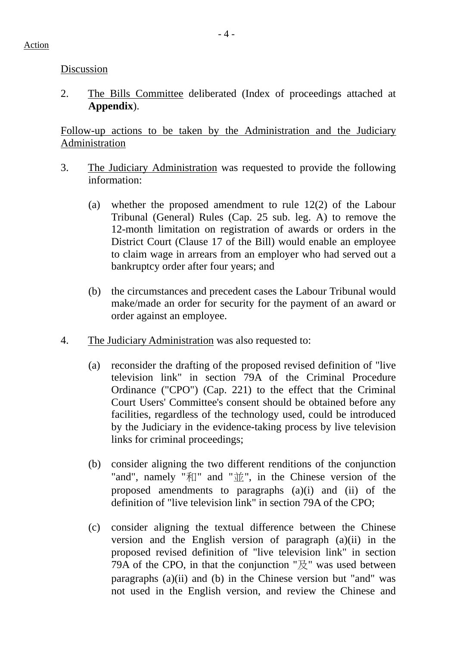Discussion

2. The Bills Committee deliberated (Index of proceedings attached at **Appendix**).

Follow-up actions to be taken by the Administration and the Judiciary Administration

- 3. The Judiciary Administration was requested to provide the following information:
	- (a) whether the proposed amendment to rule 12(2) of the Labour Tribunal (General) Rules (Cap. 25 sub. leg. A) to remove the 12-month limitation on registration of awards or orders in the District Court (Clause 17 of the Bill) would enable an employee to claim wage in arrears from an employer who had served out a bankruptcy order after four years; and
	- (b) the circumstances and precedent cases the Labour Tribunal would make/made an order for security for the payment of an award or order against an employee.
- 4. The Judiciary Administration was also requested to:
	- (a) reconsider the drafting of the proposed revised definition of "live television link" in section 79A of the Criminal Procedure Ordinance ("CPO") (Cap. 221) to the effect that the Criminal Court Users' Committee's consent should be obtained before any facilities, regardless of the technology used, could be introduced by the Judiciary in the evidence-taking process by live television links for criminal proceedings;
	- (b) consider aligning the two different renditions of the conjunction "and", namely "和" and "並", in the Chinese version of the proposed amendments to paragraphs (a)(i) and (ii) of the definition of "live television link" in section 79A of the CPO;
	- (c) consider aligning the textual difference between the Chinese version and the English version of paragraph (a)(ii) in the proposed revised definition of "live television link" in section 79A of the CPO, in that the conjunction " $\mathbb{R}$ " was used between paragraphs (a)(ii) and (b) in the Chinese version but "and" was not used in the English version, and review the Chinese and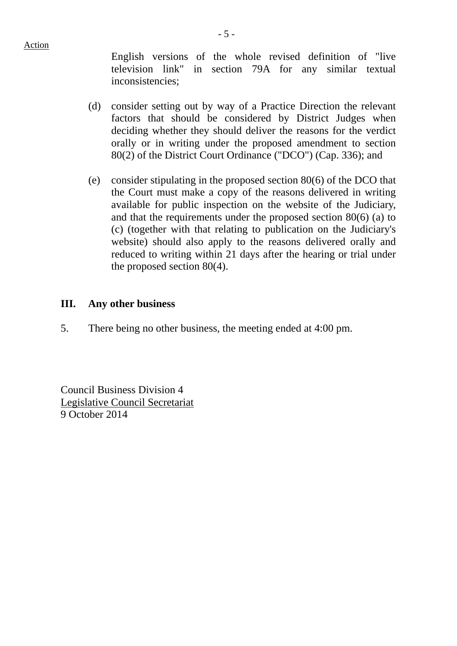Action

English versions of the whole revised definition of "live television link" in section 79A for any similar textual inconsistencies;

- (d) consider setting out by way of a Practice Direction the relevant factors that should be considered by District Judges when deciding whether they should deliver the reasons for the verdict orally or in writing under the proposed amendment to section 80(2) of the District Court Ordinance ("DCO") (Cap. 336); and
- (e) consider stipulating in the proposed section 80(6) of the DCO that the Court must make a copy of the reasons delivered in writing available for public inspection on the website of the Judiciary, and that the requirements under the proposed section 80(6) (a) to (c) (together with that relating to publication on the Judiciary's website) should also apply to the reasons delivered orally and reduced to writing within 21 days after the hearing or trial under the proposed section 80(4).

### **III. Any other business**

5. There being no other business, the meeting ended at 4:00 pm.

Council Business Division 4 Legislative Council Secretariat 9 October 2014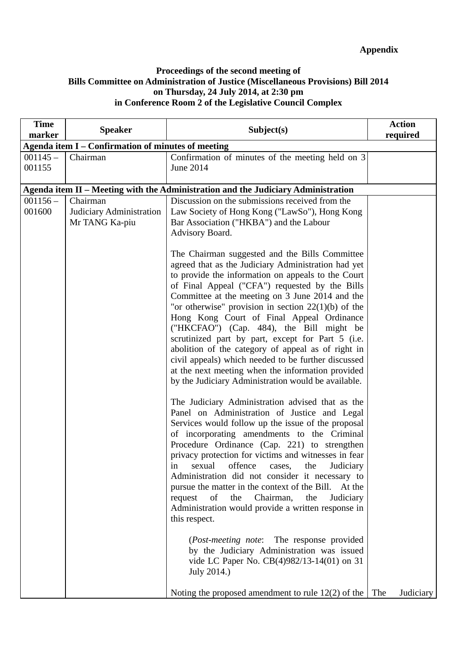#### **Proceedings of the second meeting of Bills Committee on Administration of Justice (Miscellaneous Provisions) Bill 2014 on Thursday, 24 July 2014, at 2:30 pm in Conference Room 2 of the Legislative Council Complex**

| <b>Time</b><br>marker | <b>Speaker</b>                                     | Subject(s)                                                                                                                                                                                                                                                                                                                                                                                                                                                                                                                                                                                                                                                                                                                                                                                                                                                                                                                                                                                                                                                                                                                                                                                                                                                                                                                                                                                                                                                                 | <b>Action</b><br>required |
|-----------------------|----------------------------------------------------|----------------------------------------------------------------------------------------------------------------------------------------------------------------------------------------------------------------------------------------------------------------------------------------------------------------------------------------------------------------------------------------------------------------------------------------------------------------------------------------------------------------------------------------------------------------------------------------------------------------------------------------------------------------------------------------------------------------------------------------------------------------------------------------------------------------------------------------------------------------------------------------------------------------------------------------------------------------------------------------------------------------------------------------------------------------------------------------------------------------------------------------------------------------------------------------------------------------------------------------------------------------------------------------------------------------------------------------------------------------------------------------------------------------------------------------------------------------------------|---------------------------|
|                       | Agenda item I – Confirmation of minutes of meeting |                                                                                                                                                                                                                                                                                                                                                                                                                                                                                                                                                                                                                                                                                                                                                                                                                                                                                                                                                                                                                                                                                                                                                                                                                                                                                                                                                                                                                                                                            |                           |
| $001145 -$<br>001155  | Chairman                                           | Confirmation of minutes of the meeting held on 3<br>June 2014                                                                                                                                                                                                                                                                                                                                                                                                                                                                                                                                                                                                                                                                                                                                                                                                                                                                                                                                                                                                                                                                                                                                                                                                                                                                                                                                                                                                              |                           |
|                       |                                                    | Agenda item II - Meeting with the Administration and the Judiciary Administration                                                                                                                                                                                                                                                                                                                                                                                                                                                                                                                                                                                                                                                                                                                                                                                                                                                                                                                                                                                                                                                                                                                                                                                                                                                                                                                                                                                          |                           |
| $001156 -$            | Chairman                                           | Discussion on the submissions received from the                                                                                                                                                                                                                                                                                                                                                                                                                                                                                                                                                                                                                                                                                                                                                                                                                                                                                                                                                                                                                                                                                                                                                                                                                                                                                                                                                                                                                            |                           |
| 001600                | Judiciary Administration<br>Mr TANG Ka-piu         | Law Society of Hong Kong ("LawSo"), Hong Kong<br>Bar Association ("HKBA") and the Labour<br>Advisory Board.                                                                                                                                                                                                                                                                                                                                                                                                                                                                                                                                                                                                                                                                                                                                                                                                                                                                                                                                                                                                                                                                                                                                                                                                                                                                                                                                                                |                           |
|                       |                                                    | The Chairman suggested and the Bills Committee<br>agreed that as the Judiciary Administration had yet<br>to provide the information on appeals to the Court<br>of Final Appeal ("CFA") requested by the Bills<br>Committee at the meeting on 3 June 2014 and the<br>"or otherwise" provision in section $22(1)(b)$ of the<br>Hong Kong Court of Final Appeal Ordinance<br>("HKCFAO") (Cap. 484), the Bill might be<br>scrutinized part by part, except for Part 5 (i.e.<br>abolition of the category of appeal as of right in<br>civil appeals) which needed to be further discussed<br>at the next meeting when the information provided<br>by the Judiciary Administration would be available.<br>The Judiciary Administration advised that as the<br>Panel on Administration of Justice and Legal<br>Services would follow up the issue of the proposal<br>of incorporating amendments to the Criminal<br>Procedure Ordinance (Cap. 221) to strengthen<br>privacy protection for victims and witnesses in fear<br>offence<br>the<br>Judiciary<br>sexual<br>cases,<br>1n<br>Administration did not consider it necessary to<br>pursue the matter in the context of the Bill. At the<br>request<br>of<br>the Chairman,<br>the<br>Judiciary<br>Administration would provide a written response in<br>this respect.<br>(Post-meeting note: The response provided<br>by the Judiciary Administration was issued<br>vide LC Paper No. CB(4)982/13-14(01) on 31<br>July 2014.) |                           |
|                       |                                                    | Noting the proposed amendment to rule $12(2)$ of the                                                                                                                                                                                                                                                                                                                                                                                                                                                                                                                                                                                                                                                                                                                                                                                                                                                                                                                                                                                                                                                                                                                                                                                                                                                                                                                                                                                                                       | The<br>Judiciary          |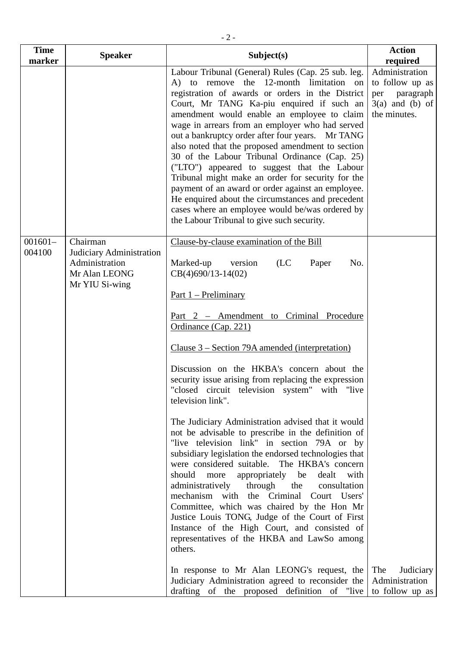| <b>Time</b><br>marker | <b>Speaker</b>                                                                            | Subject(s)                                                                                                                                                                                                                                                                                                                                                                                                                                                                                                                                                                                                                                                                                                                                                                                                                                                                                                                                                                                                                                                                                                                                                                                                                                            | <b>Action</b><br>required                                                                  |
|-----------------------|-------------------------------------------------------------------------------------------|-------------------------------------------------------------------------------------------------------------------------------------------------------------------------------------------------------------------------------------------------------------------------------------------------------------------------------------------------------------------------------------------------------------------------------------------------------------------------------------------------------------------------------------------------------------------------------------------------------------------------------------------------------------------------------------------------------------------------------------------------------------------------------------------------------------------------------------------------------------------------------------------------------------------------------------------------------------------------------------------------------------------------------------------------------------------------------------------------------------------------------------------------------------------------------------------------------------------------------------------------------|--------------------------------------------------------------------------------------------|
|                       |                                                                                           | Labour Tribunal (General) Rules (Cap. 25 sub. leg.<br>A) to remove the 12-month limitation on<br>registration of awards or orders in the District<br>Court, Mr TANG Ka-piu enquired if such an<br>amendment would enable an employee to claim<br>wage in arrears from an employer who had served<br>out a bankruptcy order after four years. Mr TANG<br>also noted that the proposed amendment to section<br>30 of the Labour Tribunal Ordinance (Cap. 25)<br>("LTO") appeared to suggest that the Labour<br>Tribunal might make an order for security for the<br>payment of an award or order against an employee.<br>He enquired about the circumstances and precedent<br>cases where an employee would be/was ordered by<br>the Labour Tribunal to give such security.                                                                                                                                                                                                                                                                                                                                                                                                                                                                             | Administration<br>to follow up as<br>paragraph<br>per<br>$3(a)$ and (b) of<br>the minutes. |
| $001601 -$<br>004100  | Chairman<br>Judiciary Administration<br>Administration<br>Mr Alan LEONG<br>Mr YIU Si-wing | Clause-by-clause examination of the Bill<br>Marked-up<br>version<br>(LC)<br>Paper<br>No.<br>$CB(4)690/13-14(02)$<br><u>Part <math>1</math> – Preliminary</u><br>Part 2 - Amendment to Criminal Procedure<br>Ordinance (Cap. 221)<br>Clause 3 – Section 79A amended (interpretation)<br>Discussion on the HKBA's concern about the<br>security issue arising from replacing the expression<br>"closed circuit television system" with "live<br>television link".<br>The Judiciary Administration advised that it would<br>not be advisable to prescribe in the definition of<br>"live television link" in section 79A or by<br>subsidiary legislation the endorsed technologies that<br>were considered suitable. The HKBA's concern<br>should<br>more<br>appropriately be<br>dealt with<br>administratively<br>through the<br>consultation<br>mechanism with the Criminal Court Users'<br>Committee, which was chaired by the Hon Mr<br>Justice Louis TONG, Judge of the Court of First<br>Instance of the High Court, and consisted of<br>representatives of the HKBA and LawSo among<br>others.<br>In response to Mr Alan LEONG's request, the<br>Judiciary Administration agreed to reconsider the<br>drafting of the proposed definition of "live | The<br>Judiciary<br>Administration<br>to follow up as                                      |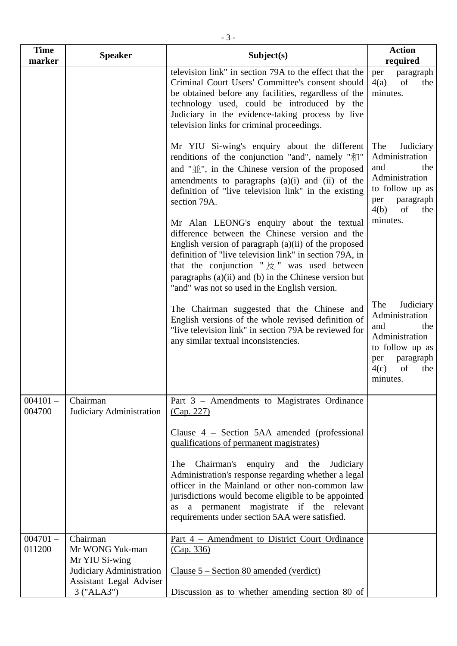| <b>Time</b><br>marker | <b>Speaker</b>                                                    | Subject(s)                                                                                                                                                                                                                                                                                                                                                                                      | <b>Action</b><br>required                                                                                                                  |
|-----------------------|-------------------------------------------------------------------|-------------------------------------------------------------------------------------------------------------------------------------------------------------------------------------------------------------------------------------------------------------------------------------------------------------------------------------------------------------------------------------------------|--------------------------------------------------------------------------------------------------------------------------------------------|
|                       |                                                                   | television link" in section 79A to the effect that the<br>Criminal Court Users' Committee's consent should<br>be obtained before any facilities, regardless of the<br>technology used, could be introduced by the<br>Judiciary in the evidence-taking process by live<br>television links for criminal proceedings.                                                                             | paragraph<br>per<br>4(a)<br>of<br>the<br>minutes.                                                                                          |
|                       |                                                                   | Mr YIU Si-wing's enquiry about the different<br>renditions of the conjunction "and", namely "和"<br>and " $\hat{\mathbb{U}}$ ", in the Chinese version of the proposed<br>amendments to paragraphs (a)(i) and (ii) of the<br>definition of "live television link" in the existing<br>section 79A.                                                                                                | Judiciary<br>The<br>Administration<br>and<br>the<br>Administration<br>to follow up as<br>paragraph<br>per<br>4(b)<br>of<br>the             |
|                       |                                                                   | Mr Alan LEONG's enquiry about the textual<br>difference between the Chinese version and the<br>English version of paragraph (a)(ii) of the proposed<br>definition of "live television link" in section 79A, in<br>that the conjunction " $\cancel{\mathbb{R}}$ " was used between<br>paragraphs $(a)(ii)$ and $(b)$ in the Chinese version but<br>"and" was not so used in the English version. | minutes.                                                                                                                                   |
|                       |                                                                   | The Chairman suggested that the Chinese and<br>English versions of the whole revised definition of<br>"live television link" in section 79A be reviewed for<br>any similar textual inconsistencies.                                                                                                                                                                                             | The<br>Judiciary<br>Administration<br>and<br>the<br>Administration<br>to follow up as<br>paragraph<br>per<br>4(c)<br>of<br>the<br>minutes. |
| $004101 -$<br>004700  | Chairman<br>Judiciary Administration                              | Part 3 – Amendments to Magistrates Ordinance<br>(Cap. 227)                                                                                                                                                                                                                                                                                                                                      |                                                                                                                                            |
|                       |                                                                   | Clause $4$ – Section 5AA amended (professional<br>qualifications of permanent magistrates)                                                                                                                                                                                                                                                                                                      |                                                                                                                                            |
|                       |                                                                   | Chairman's enquiry and the<br>The<br>Judiciary<br>Administration's response regarding whether a legal<br>officer in the Mainland or other non-common law<br>jurisdictions would become eligible to be appointed<br>a permanent magistrate if the relevant<br><b>as</b><br>requirements under section 5AA were satisfied.                                                                        |                                                                                                                                            |
| $004701 -$<br>011200  | Chairman<br>Mr WONG Yuk-man<br>Mr YIU Si-wing                     | Part 4 – Amendment to District Court Ordinance<br>(Cap. 336)                                                                                                                                                                                                                                                                                                                                    |                                                                                                                                            |
|                       | Judiciary Administration<br>Assistant Legal Adviser<br>3 ("ALA3") | Clause $5 -$ Section 80 amended (verdict)<br>Discussion as to whether amending section 80 of                                                                                                                                                                                                                                                                                                    |                                                                                                                                            |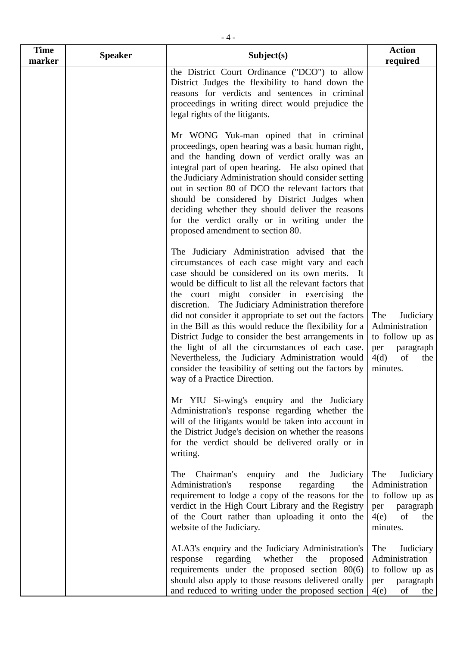| <b>Time</b><br>marker | <b>Speaker</b> | Subject(s)                                                                                                                                                                                                                                                                                                                                                                                                                                                                                                                                                                                                                                                                                      | <b>Action</b><br>required                                                                                  |
|-----------------------|----------------|-------------------------------------------------------------------------------------------------------------------------------------------------------------------------------------------------------------------------------------------------------------------------------------------------------------------------------------------------------------------------------------------------------------------------------------------------------------------------------------------------------------------------------------------------------------------------------------------------------------------------------------------------------------------------------------------------|------------------------------------------------------------------------------------------------------------|
|                       |                | the District Court Ordinance ("DCO") to allow<br>District Judges the flexibility to hand down the<br>reasons for verdicts and sentences in criminal<br>proceedings in writing direct would prejudice the<br>legal rights of the litigants.                                                                                                                                                                                                                                                                                                                                                                                                                                                      |                                                                                                            |
|                       |                | Mr WONG Yuk-man opined that in criminal<br>proceedings, open hearing was a basic human right,<br>and the handing down of verdict orally was an<br>integral part of open hearing. He also opined that<br>the Judiciary Administration should consider setting<br>out in section 80 of DCO the relevant factors that<br>should be considered by District Judges when<br>deciding whether they should deliver the reasons<br>for the verdict orally or in writing under the<br>proposed amendment to section 80.                                                                                                                                                                                   |                                                                                                            |
|                       |                | The Judiciary Administration advised that the<br>circumstances of each case might vary and each<br>case should be considered on its own merits. It<br>would be difficult to list all the relevant factors that<br>the court might consider in exercising the<br>discretion. The Judiciary Administration therefore<br>did not consider it appropriate to set out the factors<br>in the Bill as this would reduce the flexibility for a<br>District Judge to consider the best arrangements in<br>the light of all the circumstances of each case.<br>Nevertheless, the Judiciary Administration would<br>consider the feasibility of setting out the factors by<br>way of a Practice Direction. | Judiciary<br>The<br>Administration<br>to follow up as<br>paragraph<br>per<br>4(d)<br>of<br>the<br>minutes. |
|                       |                | Mr YIU Si-wing's enquiry and the Judiciary<br>Administration's response regarding whether the<br>will of the litigants would be taken into account in<br>the District Judge's decision on whether the reasons<br>for the verdict should be delivered orally or in<br>writing.                                                                                                                                                                                                                                                                                                                                                                                                                   |                                                                                                            |
|                       |                | The<br>Chairman's<br>enquiry<br>and the<br>Judiciary<br>Administration's<br>response<br>regarding<br>the<br>requirement to lodge a copy of the reasons for the<br>verdict in the High Court Library and the Registry<br>of the Court rather than uploading it onto the<br>website of the Judiciary.                                                                                                                                                                                                                                                                                                                                                                                             | The<br>Judiciary<br>Administration<br>to follow up as<br>paragraph<br>per<br>4(e)<br>of<br>the<br>minutes. |
|                       |                | ALA3's enquiry and the Judiciary Administration's<br>regarding<br>whether<br>the<br>proposed<br>response<br>requirements under the proposed section 80(6)<br>should also apply to those reasons delivered orally<br>and reduced to writing under the proposed section                                                                                                                                                                                                                                                                                                                                                                                                                           | The<br>Judiciary<br>Administration<br>to follow up as<br>paragraph<br>per<br>4(e)<br>of<br>the             |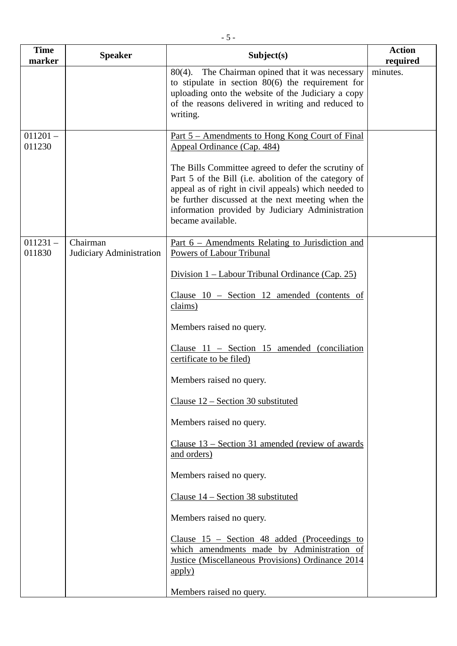| <b>Time</b><br>marker | <b>Speaker</b>                       | Subject(s)                                                                                                                                                                                                                                                                                         | <b>Action</b><br>required |
|-----------------------|--------------------------------------|----------------------------------------------------------------------------------------------------------------------------------------------------------------------------------------------------------------------------------------------------------------------------------------------------|---------------------------|
|                       |                                      | The Chairman opined that it was necessary<br>$80(4)$ .<br>to stipulate in section $80(6)$ the requirement for<br>uploading onto the website of the Judiciary a copy<br>of the reasons delivered in writing and reduced to<br>writing.                                                              | minutes.                  |
| $011201 -$<br>011230  |                                      | <u>Part 5 – Amendments to Hong Kong Court of Final</u><br>Appeal Ordinance (Cap. 484)                                                                                                                                                                                                              |                           |
|                       |                                      | The Bills Committee agreed to defer the scrutiny of<br>Part 5 of the Bill (i.e. abolition of the category of<br>appeal as of right in civil appeals) which needed to<br>be further discussed at the next meeting when the<br>information provided by Judiciary Administration<br>became available. |                           |
| $011231 -$<br>011830  | Chairman<br>Judiciary Administration | <u>Part <math>6</math> – Amendments Relating to Jurisdiction and</u><br>Powers of Labour Tribunal                                                                                                                                                                                                  |                           |
|                       |                                      | Division $1$ – Labour Tribunal Ordinance (Cap. 25)                                                                                                                                                                                                                                                 |                           |
|                       |                                      | Clause $10$ – Section 12 amended (contents of<br>claims)                                                                                                                                                                                                                                           |                           |
|                       |                                      | Members raised no query.                                                                                                                                                                                                                                                                           |                           |
|                       |                                      | Clause $11$ – Section 15 amended (conciliation<br>certificate to be filed)                                                                                                                                                                                                                         |                           |
|                       |                                      | Members raised no query.                                                                                                                                                                                                                                                                           |                           |
|                       |                                      | Clause $12$ – Section 30 substituted                                                                                                                                                                                                                                                               |                           |
|                       |                                      | Members raised no query.                                                                                                                                                                                                                                                                           |                           |
|                       |                                      | Clause $13$ – Section 31 amended (review of awards<br>and orders)                                                                                                                                                                                                                                  |                           |
|                       |                                      | Members raised no query.                                                                                                                                                                                                                                                                           |                           |
|                       |                                      | Clause $14$ – Section 38 substituted                                                                                                                                                                                                                                                               |                           |
|                       |                                      | Members raised no query.                                                                                                                                                                                                                                                                           |                           |
|                       |                                      | Clause $15$ – Section 48 added (Proceedings to<br>which amendments made by Administration of<br><b>Justice (Miscellaneous Provisions) Ordinance 2014</b><br>apply)                                                                                                                                 |                           |
|                       |                                      | Members raised no query.                                                                                                                                                                                                                                                                           |                           |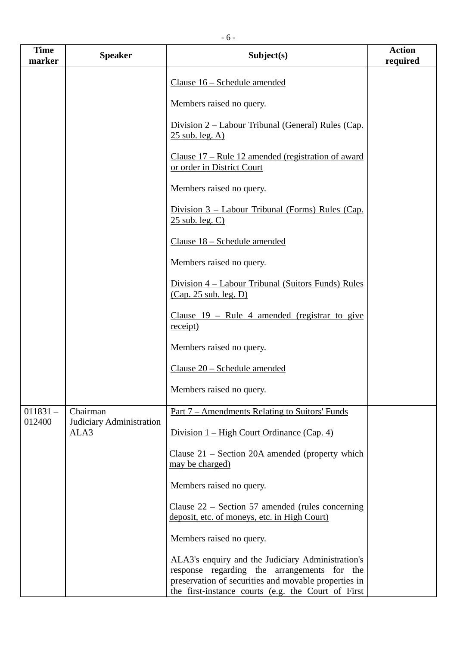| <b>Time</b><br>marker | <b>Speaker</b>                       | Subject(s)                                                                                                                                                                                                     | <b>Action</b><br>required |
|-----------------------|--------------------------------------|----------------------------------------------------------------------------------------------------------------------------------------------------------------------------------------------------------------|---------------------------|
|                       |                                      | Clause 16 - Schedule amended                                                                                                                                                                                   |                           |
|                       |                                      | Members raised no query.                                                                                                                                                                                       |                           |
|                       |                                      | Division 2 – Labour Tribunal (General) Rules (Cap.<br>$25$ sub. leg. A)                                                                                                                                        |                           |
|                       |                                      | Clause $17$ – Rule 12 amended (registration of award<br>or order in District Court                                                                                                                             |                           |
|                       |                                      | Members raised no query.                                                                                                                                                                                       |                           |
|                       |                                      | Division 3 – Labour Tribunal (Forms) Rules (Cap.<br>$25$ sub. leg. C)                                                                                                                                          |                           |
|                       |                                      | Clause 18 - Schedule amended                                                                                                                                                                                   |                           |
|                       |                                      | Members raised no query.                                                                                                                                                                                       |                           |
|                       |                                      | Division 4 – Labour Tribunal (Suitors Funds) Rules<br>(Cap. 25 sub. leg. D)                                                                                                                                    |                           |
|                       |                                      | Clause $19$ – Rule 4 amended (registrar to give<br>receipt)                                                                                                                                                    |                           |
|                       |                                      | Members raised no query.                                                                                                                                                                                       |                           |
|                       |                                      | Clause 20 - Schedule amended                                                                                                                                                                                   |                           |
|                       |                                      | Members raised no query.                                                                                                                                                                                       |                           |
| $011831 -$<br>012400  | Chairman<br>Judiciary Administration | <u>Part 7 – Amendments Relating to Suitors' Funds</u>                                                                                                                                                          |                           |
|                       | ALA3                                 | Division 1 – High Court Ordinance (Cap. 4)                                                                                                                                                                     |                           |
|                       |                                      | Clause $21$ – Section 20A amended (property which<br>may be charged)                                                                                                                                           |                           |
|                       |                                      | Members raised no query.                                                                                                                                                                                       |                           |
|                       |                                      | Clause $22$ – Section 57 amended (rules concerning<br>deposit, etc. of moneys, etc. in High Court)                                                                                                             |                           |
|                       |                                      | Members raised no query.                                                                                                                                                                                       |                           |
|                       |                                      | ALA3's enquiry and the Judiciary Administration's<br>response regarding the arrangements for the<br>preservation of securities and movable properties in<br>the first-instance courts (e.g. the Court of First |                           |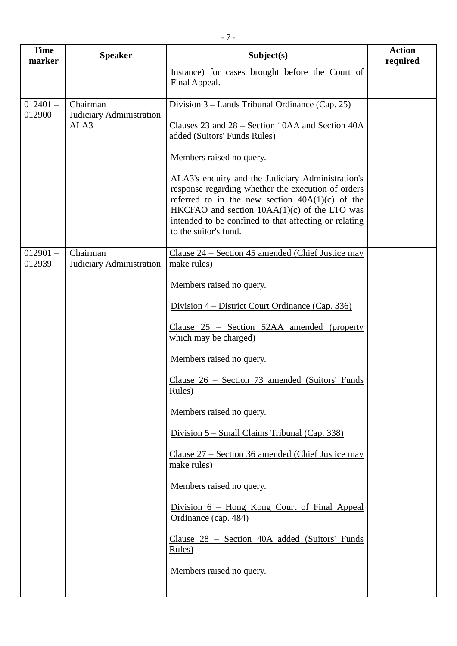| <b>Time</b><br>marker | <b>Speaker</b>                       | Subject(s)                                                                                                                                                                                                                                                                                       | <b>Action</b><br>required |
|-----------------------|--------------------------------------|--------------------------------------------------------------------------------------------------------------------------------------------------------------------------------------------------------------------------------------------------------------------------------------------------|---------------------------|
|                       |                                      | Instance) for cases brought before the Court of<br>Final Appeal.                                                                                                                                                                                                                                 |                           |
| $012401 -$            | Chairman                             | Division 3 – Lands Tribunal Ordinance (Cap. 25)                                                                                                                                                                                                                                                  |                           |
| 012900                | Judiciary Administration<br>ALA3     | <u>Clauses 23 and 28 – Section 10AA and Section 40A</u><br>added (Suitors' Funds Rules)                                                                                                                                                                                                          |                           |
|                       |                                      | Members raised no query.                                                                                                                                                                                                                                                                         |                           |
|                       |                                      | ALA3's enquiry and the Judiciary Administration's<br>response regarding whether the execution of orders<br>referred to in the new section $40A(1)(c)$ of the<br>HKCFAO and section $10AA(1)(c)$ of the LTO was<br>intended to be confined to that affecting or relating<br>to the suitor's fund. |                           |
| $012901 -$<br>012939  | Chairman<br>Judiciary Administration | Clause 24 – Section 45 amended (Chief Justice may<br>make rules)                                                                                                                                                                                                                                 |                           |
|                       |                                      | Members raised no query.                                                                                                                                                                                                                                                                         |                           |
|                       |                                      | Division 4 – District Court Ordinance (Cap. 336)                                                                                                                                                                                                                                                 |                           |
|                       |                                      | Clause $25$ – Section $52AA$ amended (property<br>which may be charged)                                                                                                                                                                                                                          |                           |
|                       |                                      | Members raised no query.                                                                                                                                                                                                                                                                         |                           |
|                       |                                      | <u>Clause 26 – Section 73 amended (Suitors' Funds</u><br>Rules)                                                                                                                                                                                                                                  |                           |
|                       |                                      | Members raised no query.                                                                                                                                                                                                                                                                         |                           |
|                       |                                      | Division 5 – Small Claims Tribunal (Cap. 338)                                                                                                                                                                                                                                                    |                           |
|                       |                                      | <u> Clause 27 – Section 36 amended (Chief Justice may</u><br>make rules)                                                                                                                                                                                                                         |                           |
|                       |                                      | Members raised no query.                                                                                                                                                                                                                                                                         |                           |
|                       |                                      | Division 6 - Hong Kong Court of Final Appeal<br>Ordinance (cap. 484)                                                                                                                                                                                                                             |                           |
|                       |                                      | Clause 28 - Section 40A added (Suitors' Funds<br>Rules)                                                                                                                                                                                                                                          |                           |
|                       |                                      | Members raised no query.                                                                                                                                                                                                                                                                         |                           |
|                       |                                      |                                                                                                                                                                                                                                                                                                  |                           |